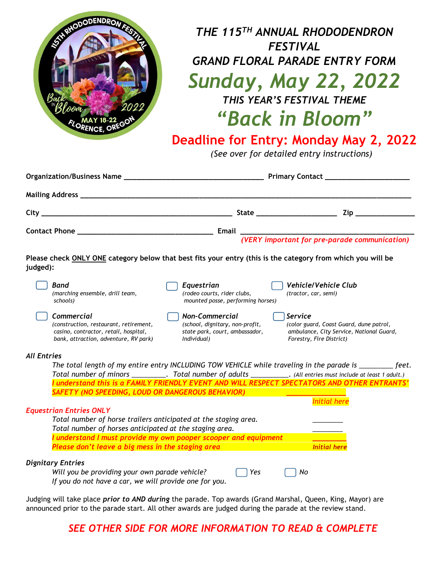

# *THE 115 TH ANNUAL RHODODENDRON FESTIVAL GRAND FLORAL PARADE ENTRY FORM Sunday, May 22, 2022 THIS YEAR'S FESTIVAL THEME "Back in Bloom"*

## **Deadline for Entry: Monday May 2, 2022**

*(See over for detailed entry instructions)*

|                                                                                                                                        |                                                                                                           | (VERY important for pre-parade communication)                                                                              |
|----------------------------------------------------------------------------------------------------------------------------------------|-----------------------------------------------------------------------------------------------------------|----------------------------------------------------------------------------------------------------------------------------|
| Please check ONLY ONE category below that best fits your entry (this is the category from which you will be<br>judged):                |                                                                                                           |                                                                                                                            |
| Band<br>(marching ensemble, drill team,<br>schools)                                                                                    | Equestrian<br>(rodeo courts, rider clubs,<br>mounted posse, performing horses)                            | <b>Vehicle/Vehicle Club</b><br>(tractor, car, semi)                                                                        |
| Commercial<br>(construction, restaurant, retirement,<br>casino, contractor, retail, hospital,<br>bank, attraction, adventure, RV park) | <b>Non-Commercial</b><br>(school, dignitary, non-profit,<br>state park, court, ambassador,<br>Individual) | Service<br>(color guard, Coast Guard, dune patrol,<br>ambulance, City Service, National Guard,<br>Forestry, Fire District) |
| <b>All Entries</b>                                                                                                                     |                                                                                                           |                                                                                                                            |
|                                                                                                                                        |                                                                                                           | The total length of my entire entry INCLUDING TOW VEHICLE while traveling in the parade is _________ feet.                 |
|                                                                                                                                        |                                                                                                           | Total number of minors ___________. Total number of adults ____________. (All entries must include at least 1 adult.)      |
| SAFETY (NO SPEEDING, LOUD OR DANGEROUS BEHAVIOR)                                                                                       |                                                                                                           | I understand this is a FAMILY FRIENDLY EVENT AND WILL RESPECT SPECTATORS AND OTHER ENTRANTS'                               |
|                                                                                                                                        |                                                                                                           | <b>Initial here</b>                                                                                                        |
| <b>Equestrian Entries ONLY</b>                                                                                                         |                                                                                                           |                                                                                                                            |
| Total number of horse trailers anticipated at the staging area.                                                                        |                                                                                                           |                                                                                                                            |
| Total number of horses anticipated at the staging area.                                                                                |                                                                                                           |                                                                                                                            |
|                                                                                                                                        | I understand I must provide my own pooper scooper and equipment                                           |                                                                                                                            |
| Please don't leave a big mess in the staging area                                                                                      |                                                                                                           | <b>Initial here</b>                                                                                                        |
| <b>Dignitary Entries</b>                                                                                                               |                                                                                                           |                                                                                                                            |
| Will you be providing your own parade vehicle?                                                                                         | Yes                                                                                                       | No                                                                                                                         |
| If you do not have a car, we will provide one for you.                                                                                 |                                                                                                           |                                                                                                                            |

Judging will take place *prior to AND during* the parade. Top awards (Grand Marshal, Queen, King, Mayor) are announced prior to the parade start. All other awards are judged during the parade at the review stand.

*SEE OTHER SIDE FOR MORE INFORMATION TO READ & COMPLETE*